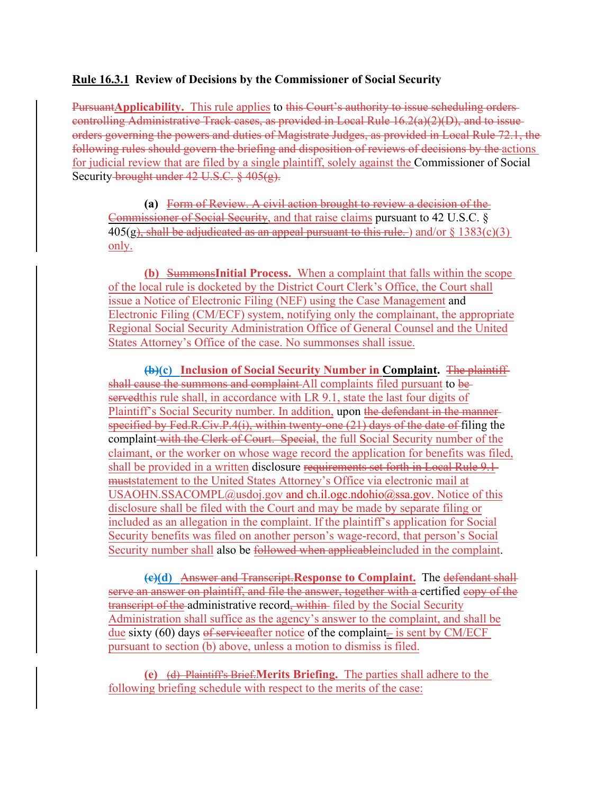## **Rule 16.3.1 Review of Decisions by the Commissioner of Social Security**

Pursuant**Applicability.** This rule applies to this Court's authority to issue scheduling orders controlling Administrative Track cases, as provided in Local Rule 16.2(a)(2)(D), and to issue orders governing the powers and duties of Magistrate Judges, as provided in Local Rule 72.1, the following rules should govern the briefing and disposition of reviews of decisions by the actions for judicial review that are filed by a single plaintiff, solely against the Commissioner of Social Security brought under 42 U.S.C. § 405(g).

**(a)** Form of Review. A civil action brought to review a decision of the Commissioner of Social Security, and that raise claims pursuant to 42 U.S.C. §  $405(g)$ , shall be adjudicated as an appeal pursuant to this rule. ) and/or  $\S 1383(c)(3)$ only.

**(b)** Summons**Initial Process.** When a complaint that falls within the scope of the local rule is docketed by the District Court Clerk's Office, the Court shall issue a Notice of Electronic Filing (NEF) using the Case Management and Electronic Filing (CM/ECF) system, notifying only the complainant, the appropriate Regional Social Security Administration Office of General Counsel and the United States Attorney's Office of the case. No summonses shall issue.

**(b)(c) Inclusion of Social Security Number in Complaint.** The plaintiff shall cause the summons and complaint All complaints filed pursuant to beservedthis rule shall, in accordance with LR 9.1, state the last four digits of Plaintiff's Social Security number. In addition, upon the defendant in the mannerspecified by Fed.R.Civ.P.4(i), within twenty-one (21) days of the date of filing the complaint with the Clerk of Court. Special, the full Social Security number of the claimant, or the worker on whose wage record the application for benefits was filed, shall be provided in a written disclosure requirements set forth in Local Rule 9.1 muststatement to the United States Attorney's Office via electronic mail at USAOHN.SSACOMPL@usdoj.gov and ch.il.ogc.ndohio@ssa.gov. Notice of this disclosure shall be filed with the Court and may be made by separate filing or included as an allegation in the complaint. If the plaintiff's application for Social Security benefits was filed on another person's wage-record, that person's Social Security number shall also be followed when applicable included in the complaint.

**(c)(d)** Answer and Transcript.**Response to Complaint.** The defendant shall serve an answer on plaintiff, and file the answer, together with a certified copy of the transcript of the administrative record, within filed by the Social Security Administration shall suffice as the agency's answer to the complaint, and shall be due sixty (60) days of serviceafter notice of the complaint $\frac{1}{x}$  is sent by CM/ECF pursuant to section (b) above, unless a motion to dismiss is filed.

**(e)** (d) Plaintiff's Brief.**Merits Briefing.** The parties shall adhere to the following briefing schedule with respect to the merits of the case: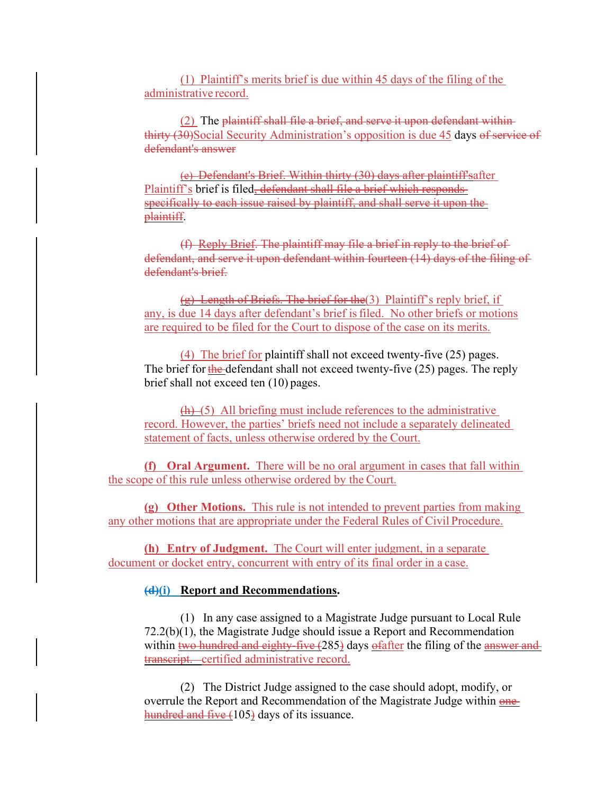(1) Plaintiff's merits brief is due within 45 days of the filing of the administrative record.

(2) The plaintiff shall file a brief, and serve it upon defendant within thirty (30)Social Security Administration's opposition is due 45 days of service of defendant's answer

(e) Defendant's Brief. Within thirty (30) days after plaintiff'safter Plaintiff's brief is filed, defendant shall file a brief which responds specifically to each issue raised by plaintiff, and shall serve it upon the plaintiff.

(f) Reply Brief. The plaintiff may file a brief in reply to the brief of defendant, and serve it upon defendant within fourteen (14) days of the filing of defendant's brief.

 $(g)$  Length of Briefs. The brief for the (3) Plaintiff's reply brief, if any, is due 14 days after defendant's brief isfiled. No other briefs or motions are required to be filed for the Court to dispose of the case on its merits.

(4) The brief for plaintiff shall not exceed twenty-five (25) pages. The brief for  $\frac{1}{2}$  defendant shall not exceed twenty-five (25) pages. The reply brief shall not exceed ten (10) pages.

 $(h)$  (5) All briefing must include references to the administrative record. However, the parties' briefs need not include a separately delineated statement of facts, unless otherwise ordered by the Court.

**(f) Oral Argument.** There will be no oral argument in cases that fall within the scope of this rule unless otherwise ordered by the Court.

**(g) Other Motions.** This rule is not intended to prevent parties from making any other motions that are appropriate under the Federal Rules of Civil Procedure.

**(h) Entry of Judgment.** The Court will enter judgment, in a separate document or docket entry, concurrent with entry of its final order in a case.

## **(d)(i) Report and Recommendations.**

(1) In any case assigned to a Magistrate Judge pursuant to Local Rule 72.2(b)(1), the Magistrate Judge should issue a Report and Recommendation within two hundred and eighty-five (285) days of after the filing of the answer and transcript. certified administrative record.

(2) The District Judge assigned to the case should adopt, modify, or overrule the Report and Recommendation of the Magistrate Judge within onehundred and five (105) days of its issuance.